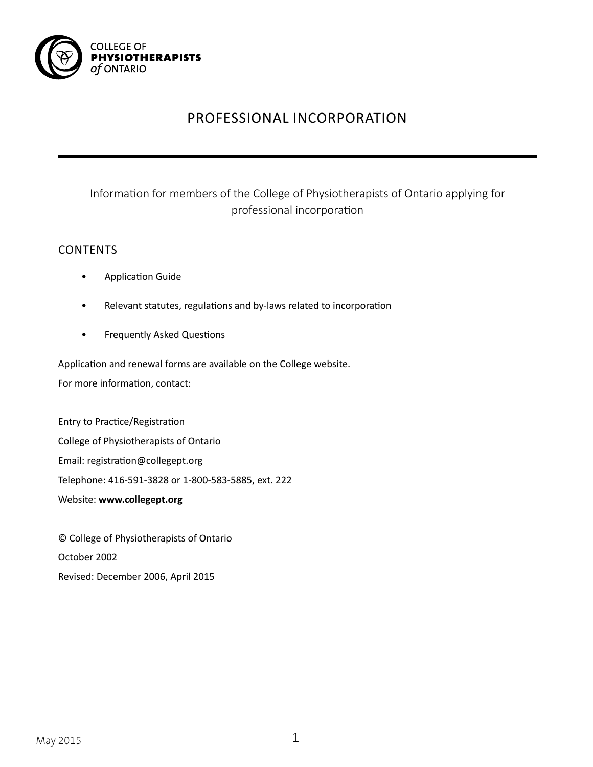

# PROFESSIONAL INCORPORATION

# Information for members of the College of Physiotherapists of Ontario applying for professional incorporation

## CONTENTS

- Application Guide
- Relevant statutes, regulations and by-laws related to incorporation
- Frequently Asked Questions

Application and renewal forms are available on the College website. For more information, contact:

Entry to Practice/Registration College of Physiotherapists of Ontario Email: registration@collegept.org Telephone: 416-591-3828 or 1-800-583-5885, ext. 222 Website: **www.collegept.org**

© College of Physiotherapists of Ontario October 2002 Revised: December 2006, April 2015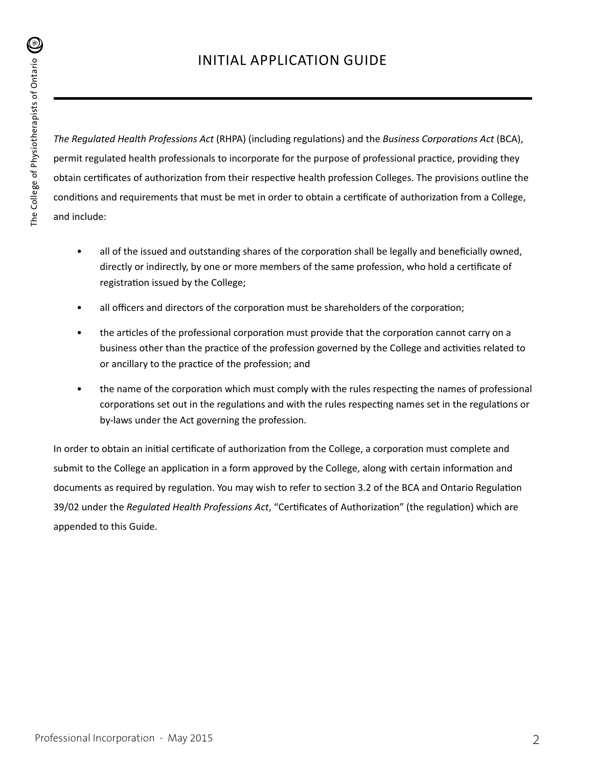*The Regulated Health Professions Act* (RHPA) (including regulations) and the *Business Corporations Act* (BCA), permit regulated health professionals to incorporate for the purpose of professional practice, providing they obtain certificates of authorization from their respective health profession Colleges. The provisions outline the conditions and requirements that must be met in order to obtain a certificate of authorization from a College, and include:

- all of the issued and outstanding shares of the corporation shall be legally and beneficially owned, directly or indirectly, by one or more members of the same profession, who hold a certificate of registration issued by the College;
- all officers and directors of the corporation must be shareholders of the corporation;
- the articles of the professional corporation must provide that the corporation cannot carry on a business other than the practice of the profession governed by the College and activities related to or ancillary to the practice of the profession; and
- the name of the corporation which must comply with the rules respecting the names of professional corporations set out in the regulations and with the rules respecting names set in the regulations or by-laws under the Act governing the profession.

In order to obtain an initial certificate of authorization from the College, a corporation must complete and submit to the College an application in a form approved by the College, along with certain information and documents as required by regulation. You may wish to refer to section 3.2 of the BCA and Ontario Regulation 39/02 under the *Regulated Health Professions Act*, "Certificates of Authorization" (the regulation) which are appended to this Guide.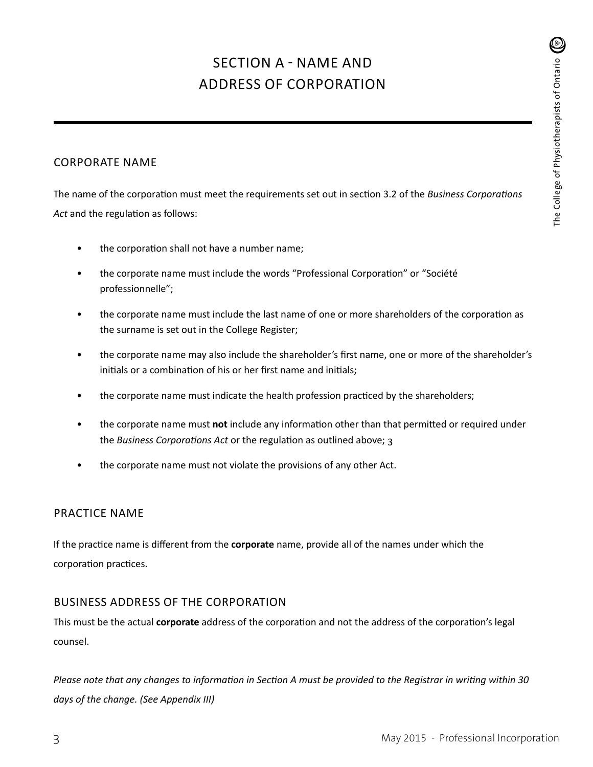# SECTION A - NAME AND ADDRESS OF CORPORATION

## CORPORATE NAME

The name of the corporation must meet the requirements set out in section 3.2 of the *Business Corporations Act* and the regulation as follows:

- the corporation shall not have a number name;
- the corporate name must include the words "Professional Corporation" or "Société professionnelle";
- the corporate name must include the last name of one or more shareholders of the corporation as the surname is set out in the College Register;
- the corporate name may also include the shareholder's first name, one or more of the shareholder's initials or a combination of his or her first name and initials;
- the corporate name must indicate the health profession practiced by the shareholders;
- the corporate name must **not** include any information other than that permitted or required under the *Business Corporations Act* or the regulation as outlined above; 3
- the corporate name must not violate the provisions of any other Act.

### PRACTICE NAME

If the practice name is different from the **corporate** name, provide all of the names under which the corporation practices.

## BUSINESS ADDRESS OF THE CORPORATION

This must be the actual **corporate** address of the corporation and not the address of the corporation's legal counsel.

*Please note that any changes to information in Section A must be provided to the Registrar in writing within 30 days of the change. (See Appendix III)*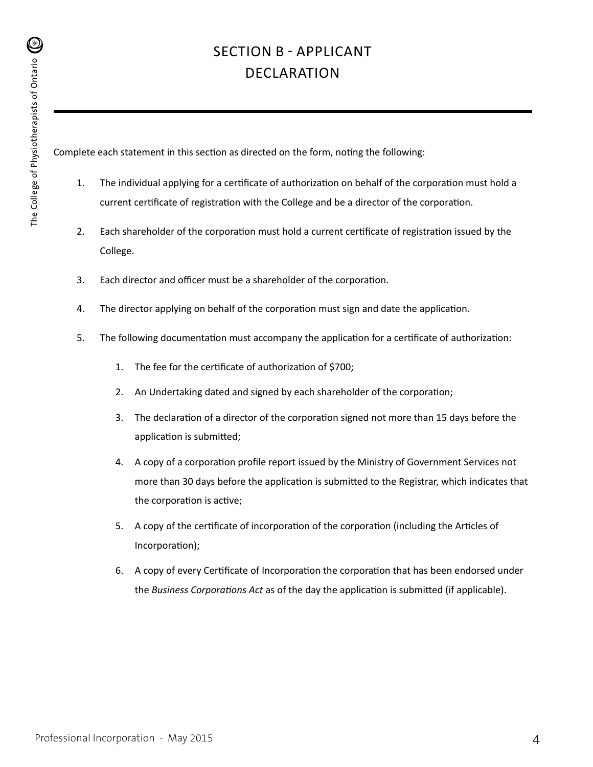# SECTION B - APPLICANT DECLARATION

Complete each statement in this section as directed on the form, noting the following:

- 1. The individual applying for a certificate of authorization on behalf of the corporation must hold a current certificate of registration with the College and be a director of the corporation.
- 2. Each shareholder of the corporation must hold a current certificate of registration issued by the College.
- 3. Each director and officer must be a shareholder of the corporation.
- 4. The director applying on behalf of the corporation must sign and date the application.
- 5. The following documentation must accompany the application for a certificate of authorization:
	- 1. The fee for the certificate of authorization of \$700;
	- 2. An Undertaking dated and signed by each shareholder of the corporation;
	- 3. The declaration of a director of the corporation signed not more than 15 days before the application is submitted;
	- 4. A copy of a corporation profile report issued by the Ministry of Government Services not more than 30 days before the application is submitted to the Registrar, which indicates that the corporation is active;
	- 5. A copy of the certificate of incorporation of the corporation (including the Articles of Incorporation);
	- 6. A copy of every Certificate of Incorporation the corporation that has been endorsed under the *Business Corporations Act* as of the day the application is submitted (if applicable).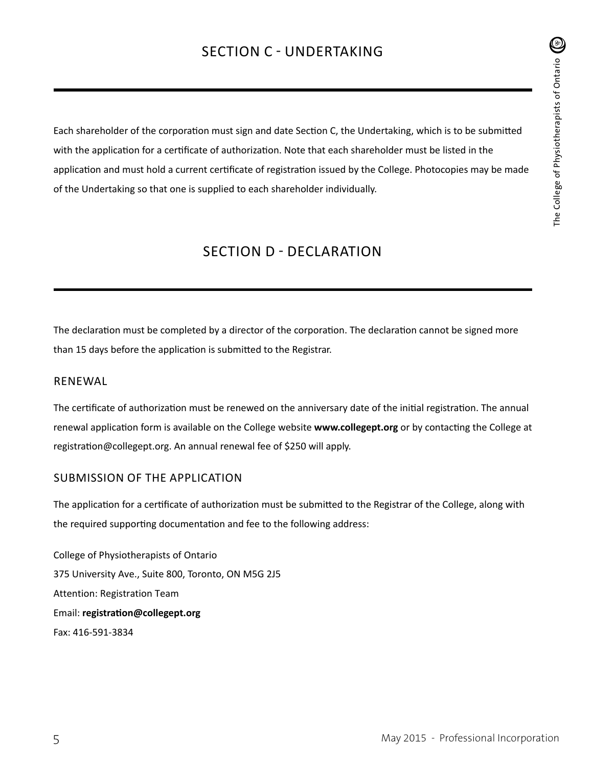# SECTION C - UNDERTAKING

Each shareholder of the corporation must sign and date Section C, the Undertaking, which is to be submitted with the application for a certificate of authorization. Note that each shareholder must be listed in the application and must hold a current certificate of registration issued by the College. Photocopies may be made of the Undertaking so that one is supplied to each shareholder individually.

# SECTION D - DECLARATION

The declaration must be completed by a director of the corporation. The declaration cannot be signed more than 15 days before the application is submitted to the Registrar.

#### RENEWAL

The certificate of authorization must be renewed on the anniversary date of the initial registration. The annual renewal application form is available on the College website **www.collegept.org** or by contacting the College at registration@collegept.org. An annual renewal fee of \$250 will apply.

#### SUBMISSION OF THE APPLICATION

The application for a certificate of authorization must be submitted to the Registrar of the College, along with the required supporting documentation and fee to the following address:

College of Physiotherapists of Ontario 375 University Ave., Suite 800, Toronto, ON M5G 2J5 Attention: Registration Team Email: **registration@collegept.org** Fax: 416-591-3834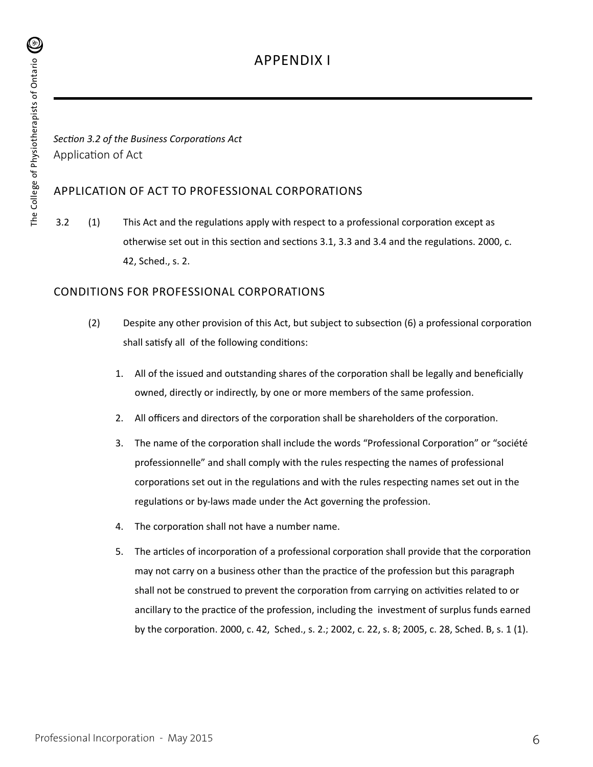# APPENDIX I

*Section 3.2 of the Business Corporations Act* Application of Act

### APPLICATION OF ACT TO PROFESSIONAL CORPORATIONS

 3.2 (1) This Act and the regulations apply with respect to a professional corporation except as otherwise set out in this section and sections 3.1, 3.3 and 3.4 and the regulations. 2000, c. 42, Sched., s. 2.

### CONDITIONS FOR PROFESSIONAL CORPORATIONS

- (2) Despite any other provision of this Act, but subject to subsection (6) a professional corporation shall satisfy all of the following conditions:
	- 1. All of the issued and outstanding shares of the corporation shall be legally and beneficially owned, directly or indirectly, by one or more members of the same profession.
	- 2. All officers and directors of the corporation shall be shareholders of the corporation.
	- 3. The name of the corporation shall include the words "Professional Corporation" or "société professionnelle" and shall comply with the rules respecting the names of professional corporations set out in the regulations and with the rules respecting names set out in the regulations or by-laws made under the Act governing the profession.
	- 4. The corporation shall not have a number name.
	- 5. The articles of incorporation of a professional corporation shall provide that the corporation may not carry on a business other than the practice of the profession but this paragraph shall not be construed to prevent the corporation from carrying on activities related to or ancillary to the practice of the profession, including the investment of surplus funds earned by the corporation. 2000, c. 42, Sched., s. 2.; 2002, c. 22, s. 8; 2005, c. 28, Sched. B, s. 1 (1).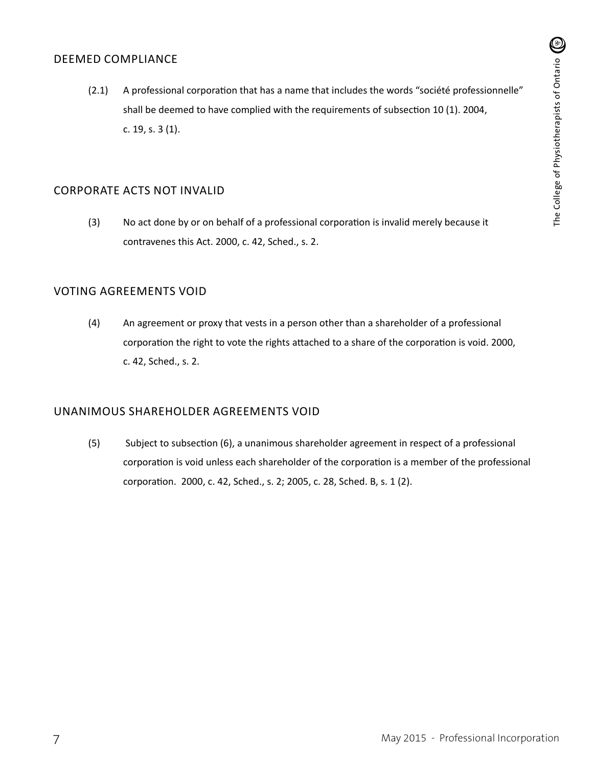#### DEEMED COMPLIANCE

(2.1) A professional corporation that has a name that includes the words "société professionnelle" shall be deemed to have complied with the requirements of subsection 10 (1). 2004, c. 19, s. 3 (1).

#### CORPORATE ACTS NOT INVALID

(3) No act done by or on behalf of a professional corporation is invalid merely because it contravenes this Act. 2000, c. 42, Sched., s. 2.

### VOTING AGREEMENTS VOID

(4) An agreement or proxy that vests in a person other than a shareholder of a professional corporation the right to vote the rights attached to a share of the corporation is void. 2000, c. 42, Sched., s. 2.

#### UNANIMOUS SHAREHOLDER AGREEMENTS VOID

(5) Subject to subsection (6), a unanimous shareholder agreement in respect of a professional corporation is void unless each shareholder of the corporation is a member of the professional corporation. 2000, c. 42, Sched., s. 2; 2005, c. 28, Sched. B, s. 1 (2).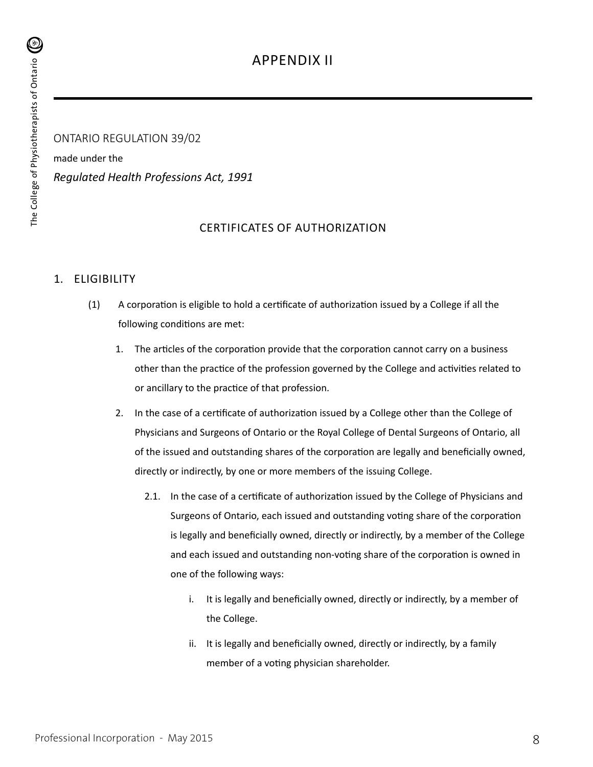ONTARIO REGULATION 39/02 made under the *Regulated Health Professions Act, 1991*

## CERTIFICATES OF AUTHORIZATION

## 1. ELIGIBILITY

- (1) A corporation is eligible to hold a certificate of authorization issued by a College if all the following conditions are met:
	- 1. The articles of the corporation provide that the corporation cannot carry on a business other than the practice of the profession governed by the College and activities related to or ancillary to the practice of that profession.
	- 2. In the case of a certificate of authorization issued by a College other than the College of Physicians and Surgeons of Ontario or the Royal College of Dental Surgeons of Ontario, all of the issued and outstanding shares of the corporation are legally and beneficially owned, directly or indirectly, by one or more members of the issuing College.
		- 2.1. In the case of a certificate of authorization issued by the College of Physicians and Surgeons of Ontario, each issued and outstanding voting share of the corporation is legally and beneficially owned, directly or indirectly, by a member of the College and each issued and outstanding non-voting share of the corporation is owned in one of the following ways:
			- i. It is legally and beneficially owned, directly or indirectly, by a member of the College.
			- ii. It is legally and beneficially owned, directly or indirectly, by a family member of a voting physician shareholder.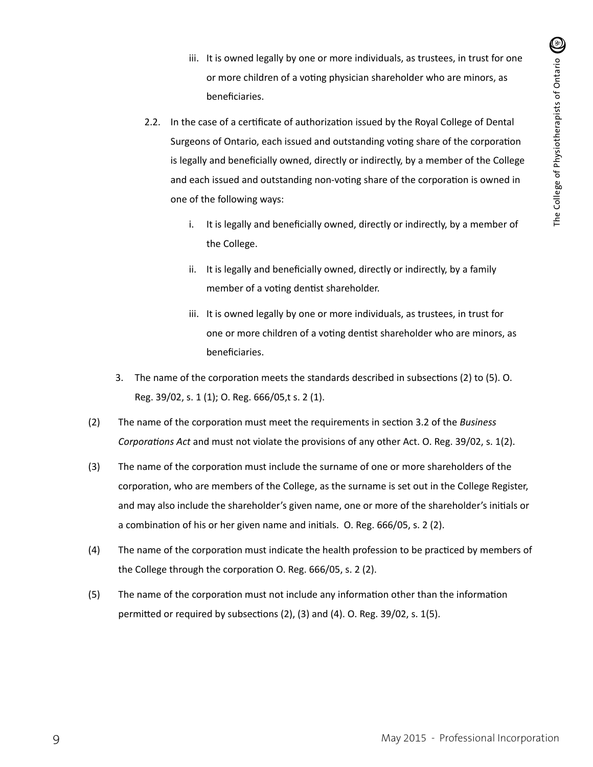- iii. It is owned legally by one or more individuals, as trustees, in trust for one or more children of a voting physician shareholder who are minors, as beneficiaries.
- 2.2. In the case of a certificate of authorization issued by the Royal College of Dental Surgeons of Ontario, each issued and outstanding voting share of the corporation is legally and beneficially owned, directly or indirectly, by a member of the College and each issued and outstanding non-voting share of the corporation is owned in one of the following ways:
	- i. It is legally and beneficially owned, directly or indirectly, by a member of the College.
	- ii. It is legally and beneficially owned, directly or indirectly, by a family member of a voting dentist shareholder.
	- iii. It is owned legally by one or more individuals, as trustees, in trust for one or more children of a voting dentist shareholder who are minors, as beneficiaries.
- 3. The name of the corporation meets the standards described in subsections (2) to (5). O. Reg. 39/02, s. 1 (1); O. Reg. 666/05,t s. 2 (1).
- (2) The name of the corporation must meet the requirements in section 3.2 of the *Business Corporations Act* and must not violate the provisions of any other Act. O. Reg. 39/02, s. 1(2).
- (3) The name of the corporation must include the surname of one or more shareholders of the corporation, who are members of the College, as the surname is set out in the College Register, and may also include the shareholder's given name, one or more of the shareholder's initials or a combination of his or her given name and initials. O. Reg. 666/05, s. 2 (2).
- (4) The name of the corporation must indicate the health profession to be practiced by members of the College through the corporation O. Reg. 666/05, s. 2 (2).
- (5) The name of the corporation must not include any information other than the information permitted or required by subsections (2), (3) and (4). O. Reg. 39/02, s. 1(5).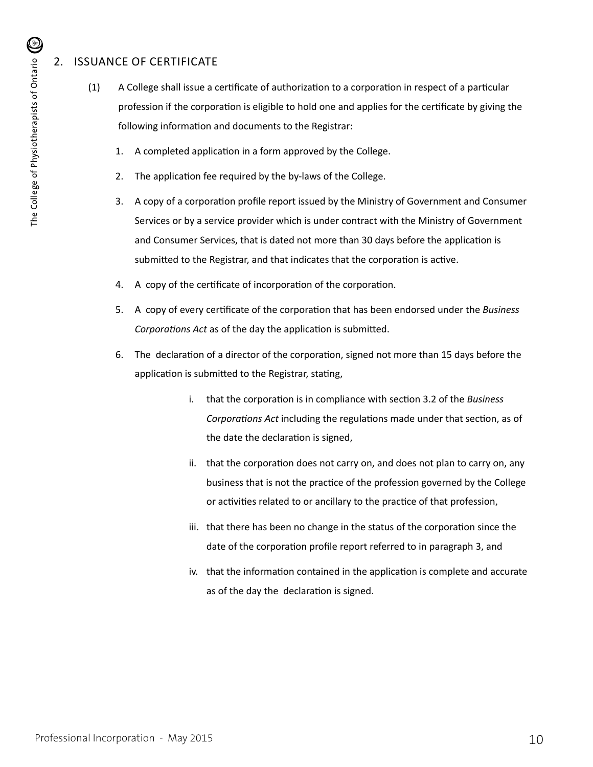# 2. ISSUANCE OF CERTIFICATE

- (1) A College shall issue a certificate of authorization to a corporation in respect of a particular profession if the corporation is eligible to hold one and applies for the certificate by giving the following information and documents to the Registrar:
	- 1. A completed application in a form approved by the College.
	- 2. The application fee required by the by-laws of the College.
	- 3. A copy of a corporation profile report issued by the Ministry of Government and Consumer Services or by a service provider which is under contract with the Ministry of Government and Consumer Services, that is dated not more than 30 days before the application is submitted to the Registrar, and that indicates that the corporation is active.
	- 4. A copy of the certificate of incorporation of the corporation.
	- 5. A copy of every certificate of the corporation that has been endorsed under the *Business Corporations Act* as of the day the application is submitted.
	- 6. The declaration of a director of the corporation, signed not more than 15 days before the application is submitted to the Registrar, stating,
		- i. that the corporation is in compliance with section 3.2 of the *Business Corporations Act* including the regulations made under that section, as of the date the declaration is signed,
		- ii. that the corporation does not carry on, and does not plan to carry on, any business that is not the practice of the profession governed by the College or activities related to or ancillary to the practice of that profession,
		- iii. that there has been no change in the status of the corporation since the date of the corporation profile report referred to in paragraph 3, and
		- iv. that the information contained in the application is complete and accurate as of the day the declaration is signed.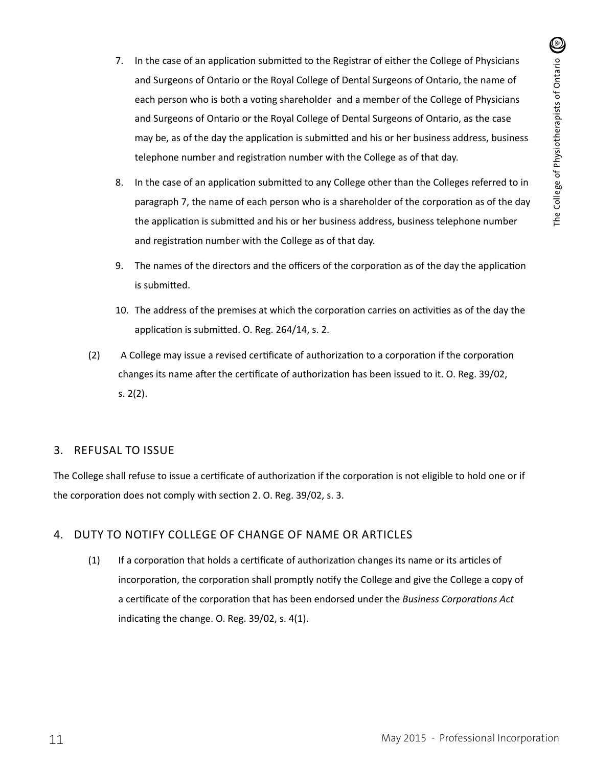- 7. In the case of an application submitted to the Registrar of either the College of Physicians and Surgeons of Ontario or the Royal College of Dental Surgeons of Ontario, the name of each person who is both a voting shareholder and a member of the College of Physicians and Surgeons of Ontario or the Royal College of Dental Surgeons of Ontario, as the case may be, as of the day the application is submitted and his or her business address, business telephone number and registration number with the College as of that day.
- 8. In the case of an application submitted to any College other than the Colleges referred to in paragraph 7, the name of each person who is a shareholder of the corporation as of the day the application is submitted and his or her business address, business telephone number and registration number with the College as of that day.
- 9. The names of the directors and the officers of the corporation as of the day the application is submitted.
- 10. The address of the premises at which the corporation carries on activities as of the day the application is submitted. O. Reg. 264/14, s. 2.
- (2) A College may issue a revised certificate of authorization to a corporation if the corporation changes its name after the certificate of authorization has been issued to it. O. Reg. 39/02, s. 2(2).

#### 3. REFUSAL TO ISSUE

The College shall refuse to issue a certificate of authorization if the corporation is not eligible to hold one or if the corporation does not comply with section 2. O. Reg. 39/02, s. 3.

### 4. DUTY TO NOTIFY COLLEGE OF CHANGE OF NAME OR ARTICLES

(1) If a corporation that holds a certificate of authorization changes its name or its articles of incorporation, the corporation shall promptly notify the College and give the College a copy of a certificate of the corporation that has been endorsed under the *Business Corporations Act*  indicating the change. O. Reg. 39/02, s. 4(1).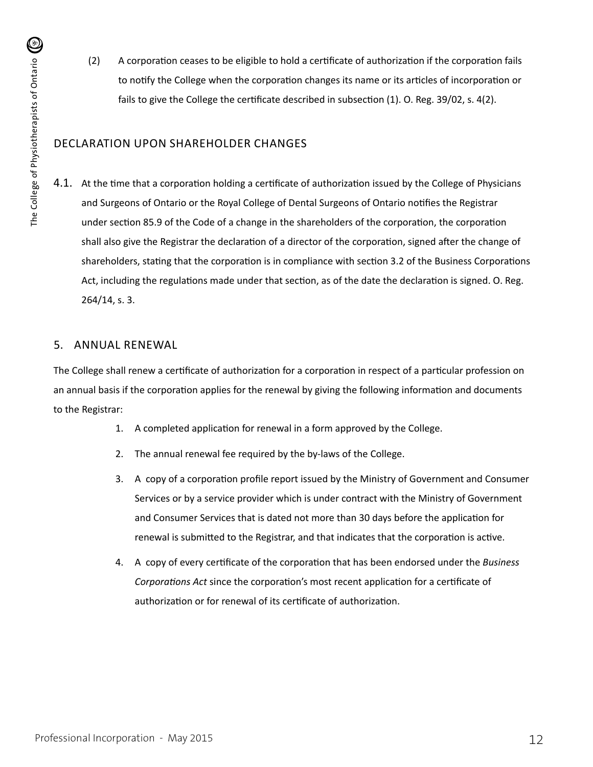(2) A corporation ceases to be eligible to hold a certificate of authorization if the corporation fails to notify the College when the corporation changes its name or its articles of incorporation or fails to give the College the certificate described in subsection (1). O. Reg. 39/02, s. 4(2).

### DECLARATION UPON SHAREHOLDER CHANGES

4.1. At the time that a corporation holding a certificate of authorization issued by the College of Physicians and Surgeons of Ontario or the Royal College of Dental Surgeons of Ontario notifies the Registrar under section 85.9 of the Code of a change in the shareholders of the corporation, the corporation shall also give the Registrar the declaration of a director of the corporation, signed after the change of shareholders, stating that the corporation is in compliance with section 3.2 of the Business Corporations Act, including the regulations made under that section, as of the date the declaration is signed. O. Reg. 264/14, s. 3.

#### 5. ANNUAL RENEWAL

The College shall renew a certificate of authorization for a corporation in respect of a particular profession on an annual basis if the corporation applies for the renewal by giving the following information and documents to the Registrar:

- 1. A completed application for renewal in a form approved by the College.
- 2. The annual renewal fee required by the by-laws of the College.
- 3. A copy of a corporation profile report issued by the Ministry of Government and Consumer Services or by a service provider which is under contract with the Ministry of Government and Consumer Services that is dated not more than 30 days before the application for renewal is submitted to the Registrar, and that indicates that the corporation is active.
- 4. A copy of every certificate of the corporation that has been endorsed under the *Business Corporations Act* since the corporation's most recent application for a certificate of authorization or for renewal of its certificate of authorization.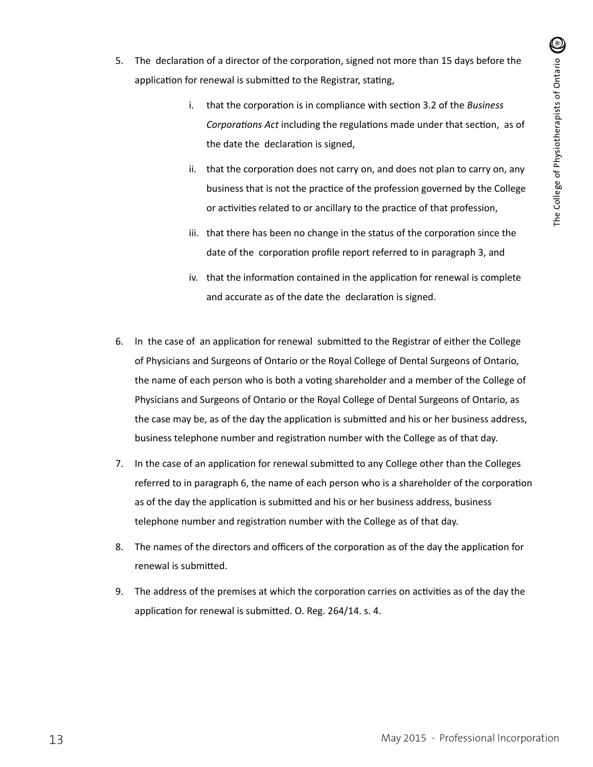- 5. The declaration of a director of the corporation, signed not more than 15 days before the application for renewal is submitted to the Registrar, stating,
	- i. that the corporation is in compliance with section 3.2 of the *Business Corporations Act* including the regulations made under that section, as of the date the declaration is signed,
	- ii. that the corporation does not carry on, and does not plan to carry on, any business that is not the practice of the profession governed by the College or activities related to or ancillary to the practice of that profession,
	- iii. that there has been no change in the status of the corporation since the date of the corporation profile report referred to in paragraph 3, and
	- iv. that the information contained in the application for renewal is complete and accurate as of the date the declaration is signed.
- 6. In the case of an application for renewal submitted to the Registrar of either the College of Physicians and Surgeons of Ontario or the Royal College of Dental Surgeons of Ontario, the name of each person who is both a voting shareholder and a member of the College of Physicians and Surgeons of Ontario or the Royal College of Dental Surgeons of Ontario, as the case may be, as of the day the application is submitted and his or her business address, business telephone number and registration number with the College as of that day.
- 7. In the case of an application for renewal submitted to any College other than the Colleges referred to in paragraph 6, the name of each person who is a shareholder of the corporation as of the day the application is submitted and his or her business address, business telephone number and registration number with the College as of that day.
- 8. The names of the directors and officers of the corporation as of the day the application for renewal is submitted.
- 9. The address of the premises at which the corporation carries on activities as of the day the application for renewal is submitted. O. Reg. 264/14. s. 4.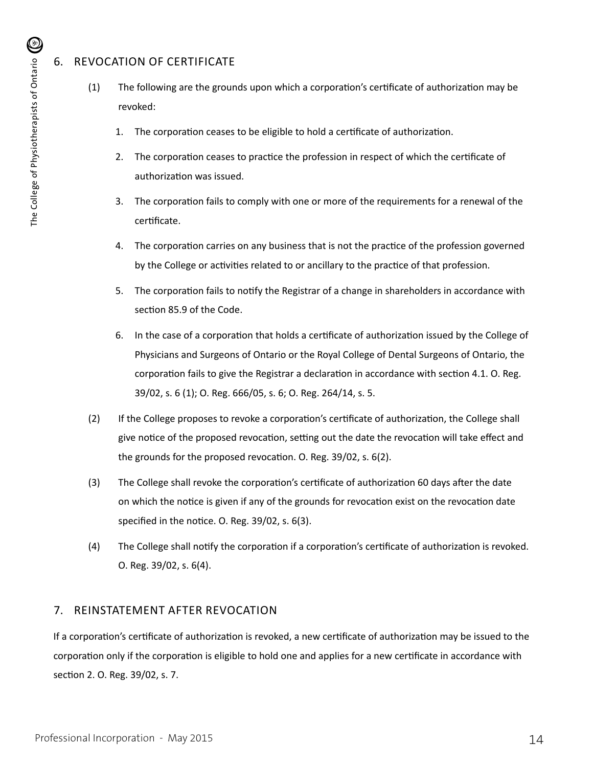# 6. REVOCATION OF CERTIFICATE

- (1) The following are the grounds upon which a corporation's certificate of authorization may be revoked:
	- 1. The corporation ceases to be eligible to hold a certificate of authorization.
	- 2. The corporation ceases to practice the profession in respect of which the certificate of authorization was issued.
	- 3. The corporation fails to comply with one or more of the requirements for a renewal of the certificate.
	- 4. The corporation carries on any business that is not the practice of the profession governed by the College or activities related to or ancillary to the practice of that profession.
	- 5. The corporation fails to notify the Registrar of a change in shareholders in accordance with section 85.9 of the Code.
	- 6. In the case of a corporation that holds a certificate of authorization issued by the College of Physicians and Surgeons of Ontario or the Royal College of Dental Surgeons of Ontario, the corporation fails to give the Registrar a declaration in accordance with section 4.1. O. Reg. 39/02, s. 6 (1); O. Reg. 666/05, s. 6; O. Reg. 264/14, s. 5.
- (2) If the College proposes to revoke a corporation's certificate of authorization, the College shall give notice of the proposed revocation, setting out the date the revocation will take effect and the grounds for the proposed revocation. O. Reg. 39/02, s. 6(2).
- (3) The College shall revoke the corporation's certificate of authorization 60 days after the date on which the notice is given if any of the grounds for revocation exist on the revocation date specified in the notice. O. Reg. 39/02, s. 6(3).
- (4) The College shall notify the corporation if a corporation's certificate of authorization is revoked. O. Reg. 39/02, s. 6(4).

## 7. REINSTATEMENT AFTER REVOCATION

If a corporation's certificate of authorization is revoked, a new certificate of authorization may be issued to the corporation only if the corporation is eligible to hold one and applies for a new certificate in accordance with section 2. O. Reg. 39/02, s. 7.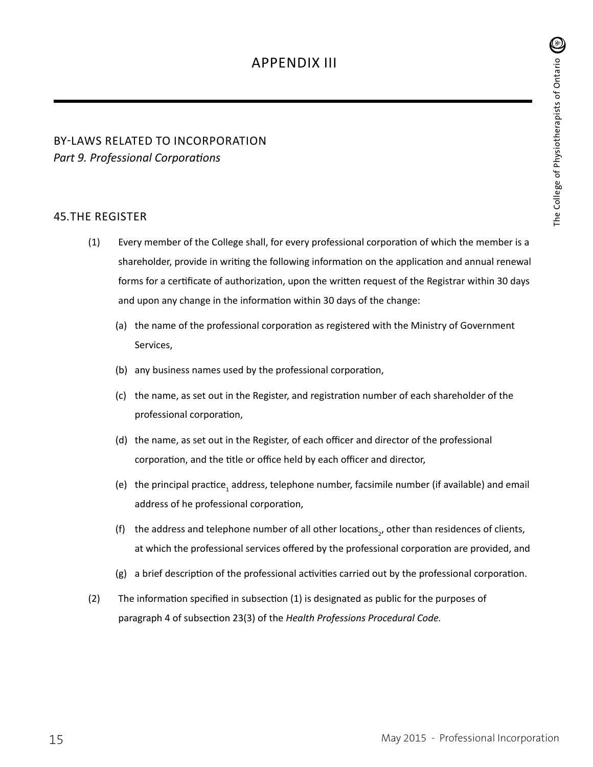# BY-LAWS RELATED TO INCORPORATION *Part 9. Professional Corporations*

#### 45.THE REGISTER

- (1) Every member of the College shall, for every professional corporation of which the member is a shareholder, provide in writing the following information on the application and annual renewal forms for a certificate of authorization, upon the written request of the Registrar within 30 days and upon any change in the information within 30 days of the change:
	- (a) the name of the professional corporation as registered with the Ministry of Government Services,
	- (b) any business names used by the professional corporation,
	- (c) the name, as set out in the Register, and registration number of each shareholder of the professional corporation,
	- (d) the name, as set out in the Register, of each officer and director of the professional corporation, and the title or office held by each officer and director,
	- (e) the principal practice<sub>1</sub> address, telephone number, facsimile number (if available) and email address of he professional corporation,
	- (f) the address and telephone number of all other locations<sub>2</sub>, other than residences of clients, at which the professional services offered by the professional corporation are provided, and
	- (g) a brief description of the professional activities carried out by the professional corporation.
- (2) The information specified in subsection (1) is designated as public for the purposes of paragraph 4 of subsection 23(3) of the *Health Professions Procedural Code.*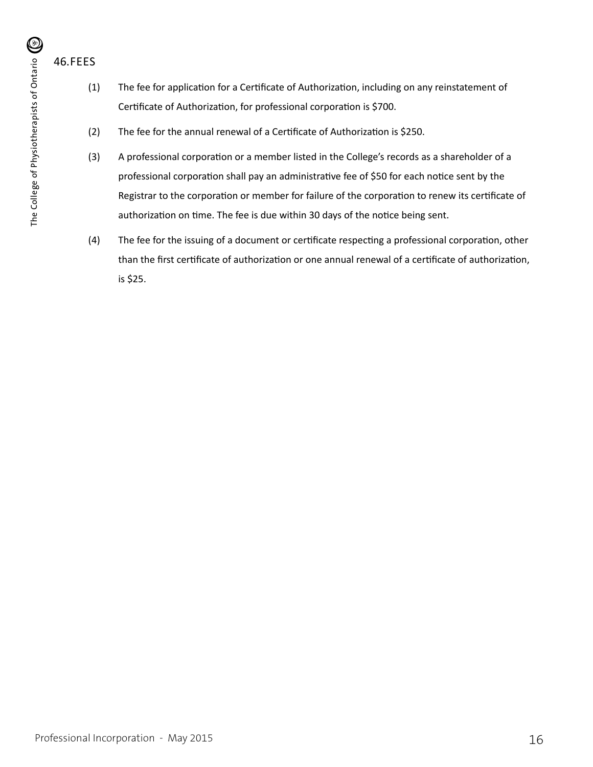46.FEES

- (1) The fee for application for a Certificate of Authorization, including on any reinstatement of Certificate of Authorization, for professional corporation is \$700.
- (2) The fee for the annual renewal of a Certificate of Authorization is \$250.
- (3) A professional corporation or a member listed in the College's records as a shareholder of a professional corporation shall pay an administrative fee of \$50 for each notice sent by the Registrar to the corporation or member for failure of the corporation to renew its certificate of authorization on time. The fee is due within 30 days of the notice being sent.
- (4) The fee for the issuing of a document or certificate respecting a professional corporation, other than the first certificate of authorization or one annual renewal of a certificate of authorization, is \$25.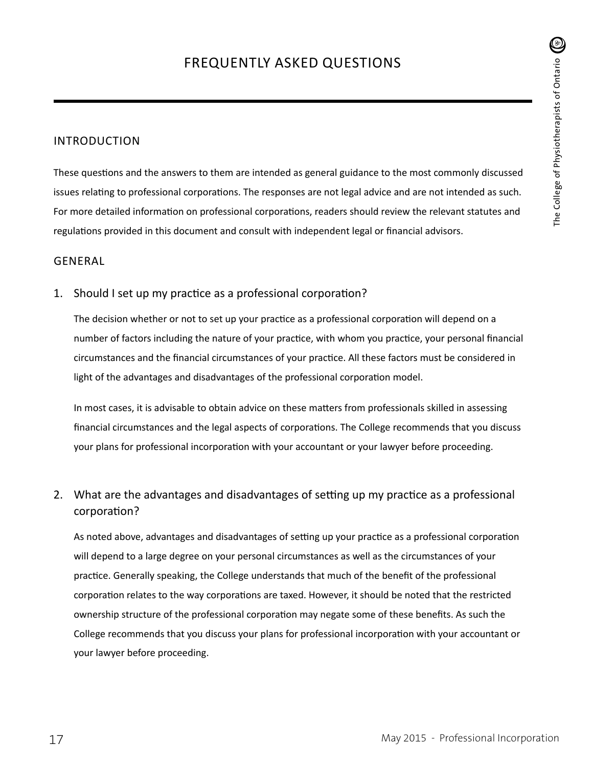### INTRODUCTION

These questions and the answers to them are intended as general guidance to the most commonly discussed issues relating to professional corporations. The responses are not legal advice and are not intended as such. For more detailed information on professional corporations, readers should review the relevant statutes and regulations provided in this document and consult with independent legal or financial advisors.

#### GENERAL

1. Should I set up my practice as a professional corporation?

The decision whether or not to set up your practice as a professional corporation will depend on a number of factors including the nature of your practice, with whom you practice, your personal financial circumstances and the financial circumstances of your practice. All these factors must be considered in light of the advantages and disadvantages of the professional corporation model.

In most cases, it is advisable to obtain advice on these matters from professionals skilled in assessing financial circumstances and the legal aspects of corporations. The College recommends that you discuss your plans for professional incorporation with your accountant or your lawyer before proceeding.

## 2. What are the advantages and disadvantages of setting up my practice as a professional corporation?

As noted above, advantages and disadvantages of setting up your practice as a professional corporation will depend to a large degree on your personal circumstances as well as the circumstances of your practice. Generally speaking, the College understands that much of the benefit of the professional corporation relates to the way corporations are taxed. However, it should be noted that the restricted ownership structure of the professional corporation may negate some of these benefits. As such the College recommends that you discuss your plans for professional incorporation with your accountant or your lawyer before proceeding.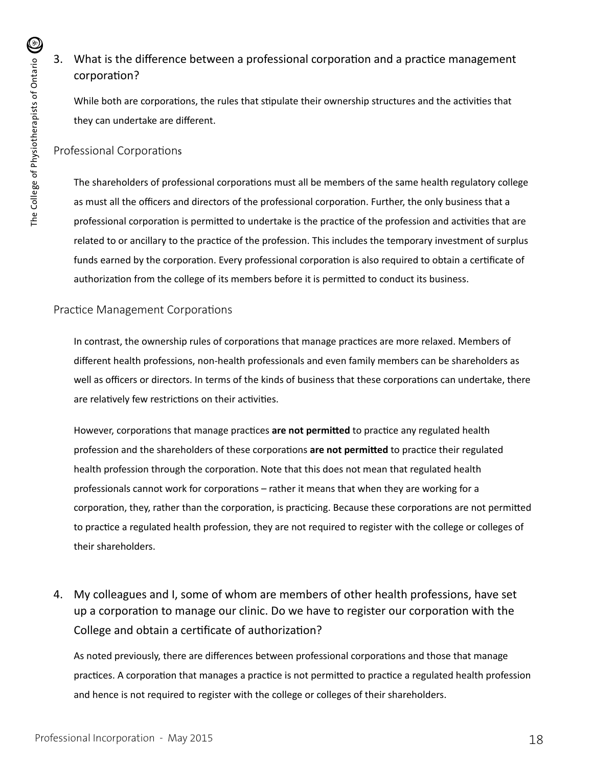# 3. What is the difference between a professional corporation and a practice management corporation?

While both are corporations, the rules that stipulate their ownership structures and the activities that they can undertake are different.

### Professional Corporations

The shareholders of professional corporations must all be members of the same health regulatory college as must all the officers and directors of the professional corporation. Further, the only business that a professional corporation is permitted to undertake is the practice of the profession and activities that are related to or ancillary to the practice of the profession. This includes the temporary investment of surplus funds earned by the corporation. Every professional corporation is also required to obtain a certificate of authorization from the college of its members before it is permitted to conduct its business.

### Practice Management Corporations

In contrast, the ownership rules of corporations that manage practices are more relaxed. Members of different health professions, non-health professionals and even family members can be shareholders as well as officers or directors. In terms of the kinds of business that these corporations can undertake, there are relatively few restrictions on their activities.

However, corporations that manage practices **are not permitted** to practice any regulated health profession and the shareholders of these corporations **are not permitted** to practice their regulated health profession through the corporation. Note that this does not mean that regulated health professionals cannot work for corporations – rather it means that when they are working for a corporation, they, rather than the corporation, is practicing. Because these corporations are not permitted to practice a regulated health profession, they are not required to register with the college or colleges of their shareholders.

4. My colleagues and I, some of whom are members of other health professions, have set up a corporation to manage our clinic. Do we have to register our corporation with the College and obtain a certificate of authorization?

As noted previously, there are differences between professional corporations and those that manage practices. A corporation that manages a practice is not permitted to practice a regulated health profession and hence is not required to register with the college or colleges of their shareholders.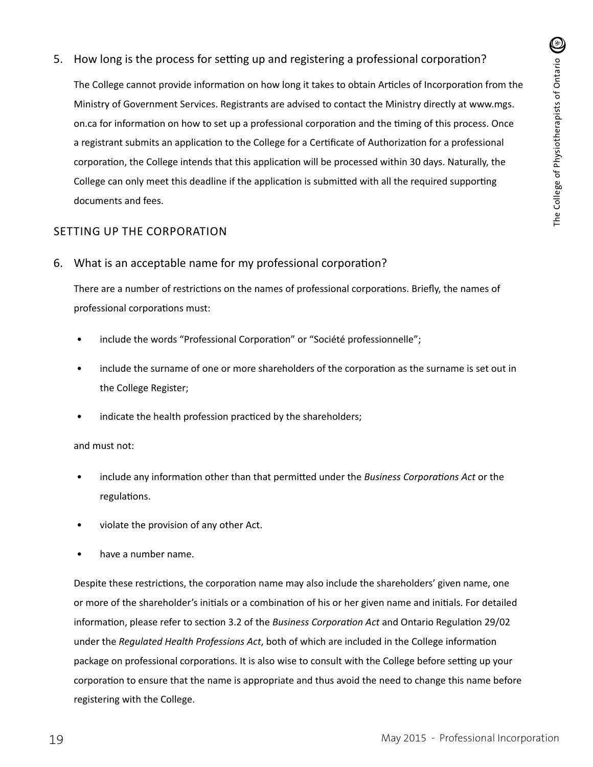5. How long is the process for setting up and registering a professional corporation?

The College cannot provide information on how long it takes to obtain Articles of Incorporation from the Ministry of Government Services. Registrants are advised to contact the Ministry directly at www.mgs. on.ca for information on how to set up a professional corporation and the timing of this process. Once a registrant submits an application to the College for a Certificate of Authorization for a professional corporation, the College intends that this application will be processed within 30 days. Naturally, the College can only meet this deadline if the application is submitted with all the required supporting documents and fees.

### SETTING UP THE CORPORATION

6. What is an acceptable name for my professional corporation?

There are a number of restrictions on the names of professional corporations. Briefly, the names of professional corporations must:

- include the words "Professional Corporation" or "Société professionnelle";
- include the surname of one or more shareholders of the corporation as the surname is set out in the College Register;
- indicate the health profession practiced by the shareholders;

#### and must not:

- include any information other than that permitted under the *Business Corporations Act* or the regulations.
- violate the provision of any other Act.
- have a number name.

Despite these restrictions, the corporation name may also include the shareholders' given name, one or more of the shareholder's initials or a combination of his or her given name and initials. For detailed information, please refer to section 3.2 of the *Business Corporation Act* and Ontario Regulation 29/02 under the *Regulated Health Professions Act*, both of which are included in the College information package on professional corporations. It is also wise to consult with the College before setting up your corporation to ensure that the name is appropriate and thus avoid the need to change this name before registering with the College.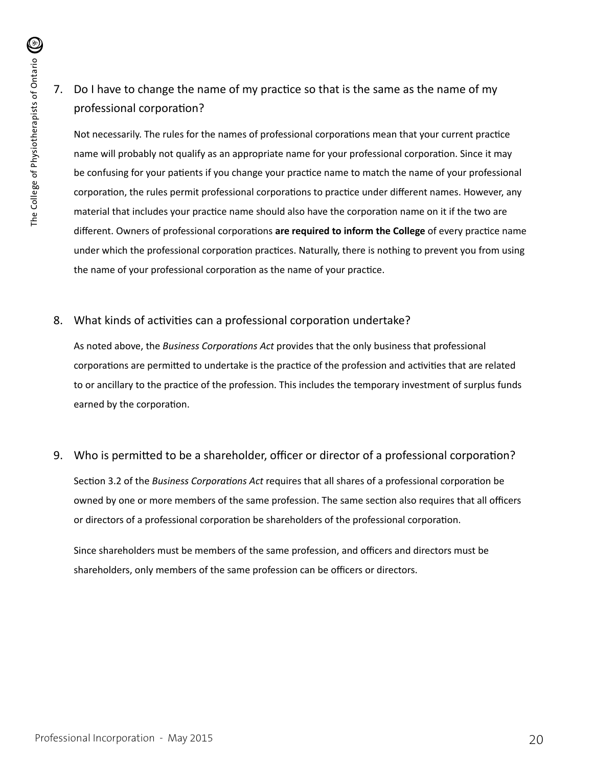# 7. Do I have to change the name of my practice so that is the same as the name of my professional corporation?

Not necessarily. The rules for the names of professional corporations mean that your current practice name will probably not qualify as an appropriate name for your professional corporation. Since it may be confusing for your patients if you change your practice name to match the name of your professional corporation, the rules permit professional corporations to practice under different names. However, any material that includes your practice name should also have the corporation name on it if the two are different. Owners of professional corporations **are required to inform the College** of every practice name under which the professional corporation practices. Naturally, there is nothing to prevent you from using the name of your professional corporation as the name of your practice.

## 8. What kinds of activities can a professional corporation undertake?

As noted above, the *Business Corporations Act* provides that the only business that professional corporations are permitted to undertake is the practice of the profession and activities that are related to or ancillary to the practice of the profession. This includes the temporary investment of surplus funds earned by the corporation.

### 9. Who is permitted to be a shareholder, officer or director of a professional corporation?

Section 3.2 of the *Business Corporations Act* requires that all shares of a professional corporation be owned by one or more members of the same profession. The same section also requires that all officers or directors of a professional corporation be shareholders of the professional corporation.

Since shareholders must be members of the same profession, and officers and directors must be shareholders, only members of the same profession can be officers or directors.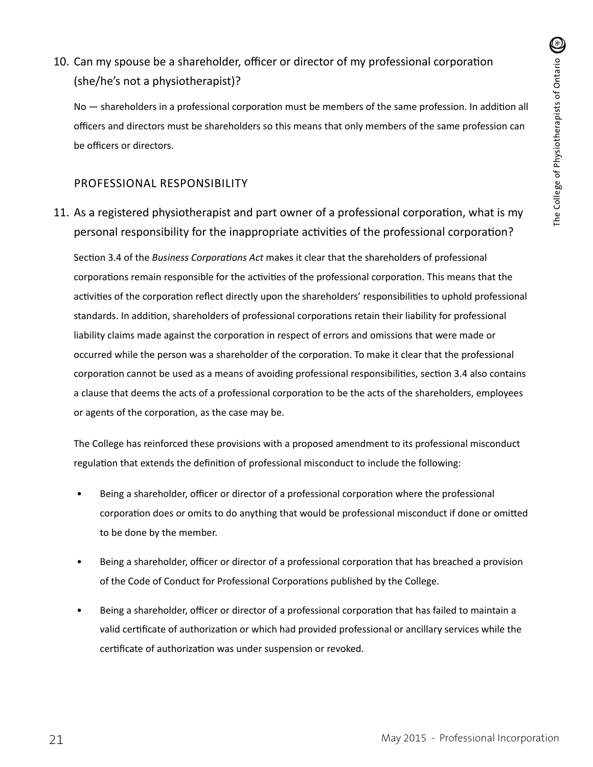# 10. Can my spouse be a shareholder, officer or director of my professional corporation (she/he's not a physiotherapist)?

No — shareholders in a professional corporation must be members of the same profession. In addition all officers and directors must be shareholders so this means that only members of the same profession can be officers or directors.

### PROFESSIONAL RESPONSIBILITY

# 11. As a registered physiotherapist and part owner of a professional corporation, what is my personal responsibility for the inappropriate activities of the professional corporation?

Section 3.4 of the *Business Corporations Act* makes it clear that the shareholders of professional corporations remain responsible for the activities of the professional corporation. This means that the activities of the corporation reflect directly upon the shareholders' responsibilities to uphold professional standards. In addition, shareholders of professional corporations retain their liability for professional liability claims made against the corporation in respect of errors and omissions that were made or occurred while the person was a shareholder of the corporation. To make it clear that the professional corporation cannot be used as a means of avoiding professional responsibilities, section 3.4 also contains a clause that deems the acts of a professional corporation to be the acts of the shareholders, employees or agents of the corporation, as the case may be.

The College has reinforced these provisions with a proposed amendment to its professional misconduct regulation that extends the definition of professional misconduct to include the following:

- Being a shareholder, officer or director of a professional corporation where the professional corporation does or omits to do anything that would be professional misconduct if done or omitted to be done by the member.
- Being a shareholder, officer or director of a professional corporation that has breached a provision of the Code of Conduct for Professional Corporations published by the College.
- Being a shareholder, officer or director of a professional corporation that has failed to maintain a valid certificate of authorization or which had provided professional or ancillary services while the certificate of authorization was under suspension or revoked.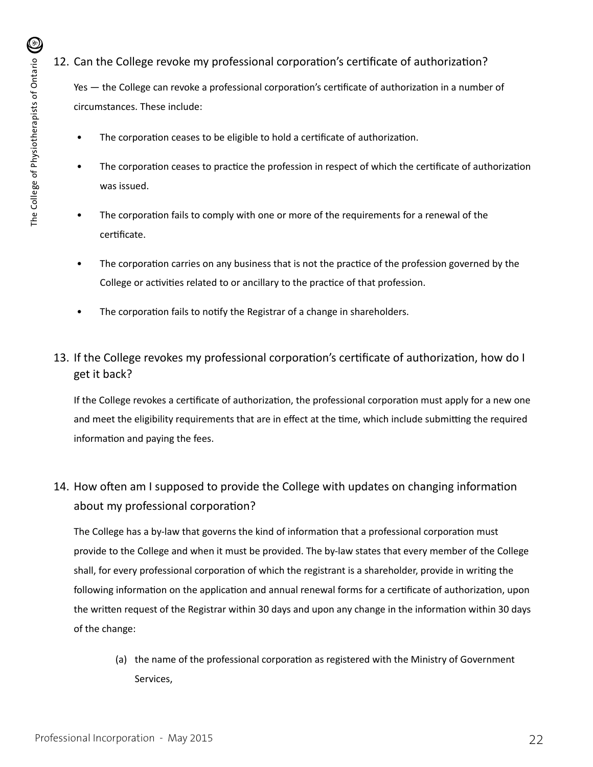# 12. Can the College revoke my professional corporation's certificate of authorization?

Yes — the College can revoke a professional corporation's certificate of authorization in a number of circumstances. These include:

- The corporation ceases to be eligible to hold a certificate of authorization.
- The corporation ceases to practice the profession in respect of which the certificate of authorization was issued.
- The corporation fails to comply with one or more of the requirements for a renewal of the certificate.
- The corporation carries on any business that is not the practice of the profession governed by the College or activities related to or ancillary to the practice of that profession.
- The corporation fails to notify the Registrar of a change in shareholders.
- 13. If the College revokes my professional corporation's certificate of authorization, how do I get it back?

If the College revokes a certificate of authorization, the professional corporation must apply for a new one and meet the eligibility requirements that are in effect at the time, which include submitting the required information and paying the fees.

# 14. How often am I supposed to provide the College with updates on changing information about my professional corporation?

The College has a by-law that governs the kind of information that a professional corporation must provide to the College and when it must be provided. The by-law states that every member of the College shall, for every professional corporation of which the registrant is a shareholder, provide in writing the following information on the application and annual renewal forms for a certificate of authorization, upon the written request of the Registrar within 30 days and upon any change in the information within 30 days of the change:

(a) the name of the professional corporation as registered with the Ministry of Government Services,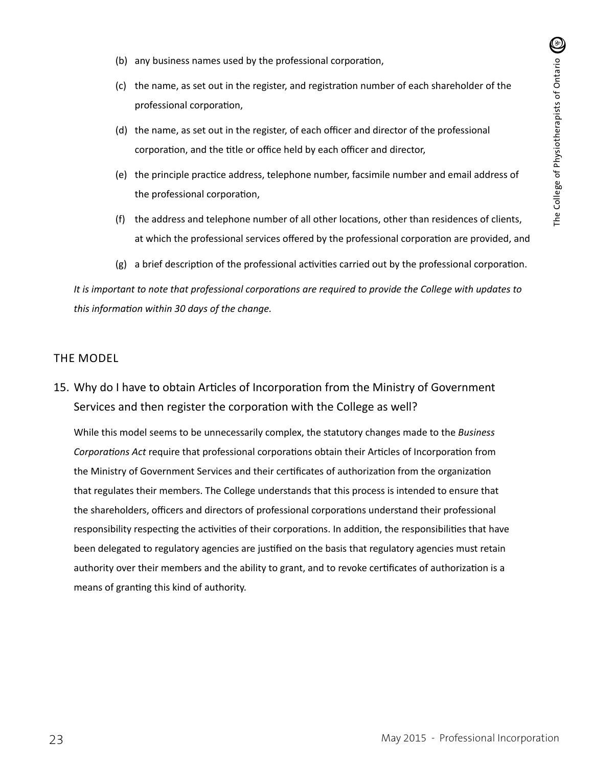- (b) any business names used by the professional corporation,
- (c) the name, as set out in the register, and registration number of each shareholder of the professional corporation,
- (d) the name, as set out in the register, of each officer and director of the professional corporation, and the title or office held by each officer and director,
- (e) the principle practice address, telephone number, facsimile number and email address of the professional corporation,
- (f) the address and telephone number of all other locations, other than residences of clients, at which the professional services offered by the professional corporation are provided, and
- (g) a brief description of the professional activities carried out by the professional corporation.

*It is important to note that professional corporations are required to provide the College with updates to this information within 30 days of the change.*

#### THE MODEL

15. Why do I have to obtain Articles of Incorporation from the Ministry of Government Services and then register the corporation with the College as well?

While this model seems to be unnecessarily complex, the statutory changes made to the *Business Corporations Act* require that professional corporations obtain their Articles of Incorporation from the Ministry of Government Services and their certificates of authorization from the organization that regulates their members. The College understands that this process is intended to ensure that the shareholders, officers and directors of professional corporations understand their professional responsibility respecting the activities of their corporations. In addition, the responsibilities that have been delegated to regulatory agencies are justified on the basis that regulatory agencies must retain authority over their members and the ability to grant, and to revoke certificates of authorization is a means of granting this kind of authority.